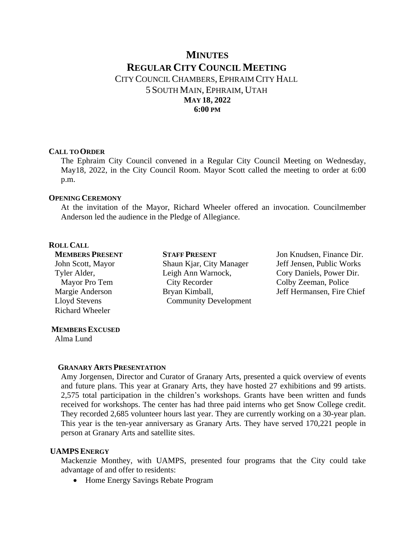# **MINUTES REGULAR CITY COUNCIL MEETING** CITY COUNCIL CHAMBERS, EPHRAIM CITY HALL 5 SOUTH MAIN, EPHRAIM, UTAH **MAY 18, 2022 6:00 PM**

#### **CALL TO ORDER**

The Ephraim City Council convened in a Regular City Council Meeting on Wednesday, May18, 2022, in the City Council Room. Mayor Scott called the meeting to order at 6:00 p.m.

## **OPENING CEREMONY**

At the invitation of the Mayor, Richard Wheeler offered an invocation. Councilmember Anderson led the audience in the Pledge of Allegiance.

## **ROLL CALL**

**MEMBERS PRESENT** John Scott, Mayor Tyler Alder, Mayor Pro Tem Margie Anderson Lloyd Stevens Richard Wheeler **STAFF PRESENT** Shaun Kjar, City Manager Leigh Ann Warnock, City Recorder Bryan Kimball, Community Development Jon Knudsen, Finance Dir. Jeff Jensen, Public Works Cory Daniels, Power Dir. Colby Zeeman, Police Jeff Hermansen, Fire Chief

## **MEMBERS EXCUSED**

Alma Lund

## **GRANARY ARTS PRESENTATION**

Amy Jorgensen, Director and Curator of Granary Arts, presented a quick overview of events and future plans. This year at Granary Arts, they have hosted 27 exhibitions and 99 artists. 2,575 total participation in the children's workshops. Grants have been written and funds received for workshops. The center has had three paid interns who get Snow College credit. They recorded 2,685 volunteer hours last year. They are currently working on a 30-year plan. This year is the ten-year anniversary as Granary Arts. They have served 170,221 people in person at Granary Arts and satellite sites.

## **UAMPSENERGY**

Mackenzie Monthey, with UAMPS, presented four programs that the City could take advantage of and offer to residents:

• Home Energy Savings Rebate Program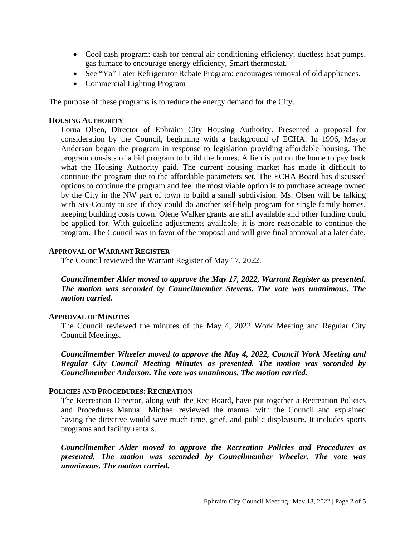- Cool cash program: cash for central air conditioning efficiency, ductless heat pumps, gas furnace to encourage energy efficiency, Smart thermostat.
- See "Ya" Later Refrigerator Rebate Program: encourages removal of old appliances.
- Commercial Lighting Program

The purpose of these programs is to reduce the energy demand for the City.

## **HOUSING AUTHORITY**

Lorna Olsen, Director of Ephraim City Housing Authority. Presented a proposal for consideration by the Council, beginning with a background of ECHA. In 1996, Mayor Anderson began the program in response to legislation providing affordable housing. The program consists of a bid program to build the homes. A lien is put on the home to pay back what the Housing Authority paid. The current housing market has made it difficult to continue the program due to the affordable parameters set. The ECHA Board has discussed options to continue the program and feel the most viable option is to purchase acreage owned by the City in the NW part of town to build a small subdivision. Ms. Olsen will be talking with Six-County to see if they could do another self-help program for single family homes, keeping building costs down. Olene Walker grants are still available and other funding could be applied for. With guideline adjustments available, it is more reasonable to continue the program. The Council was in favor of the proposal and will give final approval at a later date.

## **APPROVAL OF WARRANT REGISTER**

The Council reviewed the Warrant Register of May 17, 2022.

*Councilmember Alder moved to approve the May 17, 2022, Warrant Register as presented. The motion was seconded by Councilmember Stevens. The vote was unanimous. The motion carried.*

## **APPROVAL OF MINUTES**

The Council reviewed the minutes of the May 4, 2022 Work Meeting and Regular City Council Meetings.

*Councilmember Wheeler moved to approve the May 4, 2022, Council Work Meeting and Regular City Council Meeting Minutes as presented. The motion was seconded by Councilmember Anderson. The vote was unanimous. The motion carried.*

## **POLICIES AND PROCEDURES: RECREATION**

The Recreation Director, along with the Rec Board, have put together a Recreation Policies and Procedures Manual. Michael reviewed the manual with the Council and explained having the directive would save much time, grief, and public displeasure. It includes sports programs and facility rentals.

*Councilmember Alder moved to approve the Recreation Policies and Procedures as presented. The motion was seconded by Councilmember Wheeler. The vote was unanimous. The motion carried.*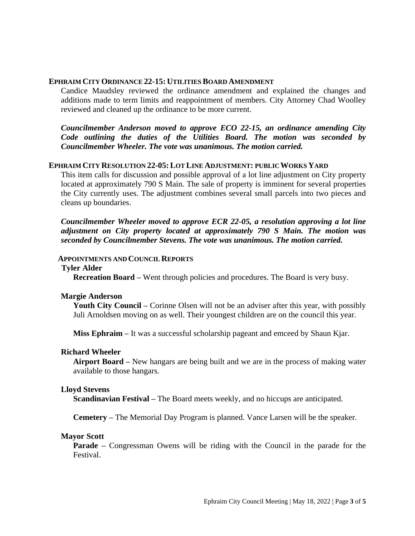#### **EPHRAIM CITY ORDINANCE 22-15: UTILITIES BOARD AMENDMENT**

Candice Maudsley reviewed the ordinance amendment and explained the changes and additions made to term limits and reappointment of members. City Attorney Chad Woolley reviewed and cleaned up the ordinance to be more current.

*Councilmember Anderson moved to approve ECO 22-15, an ordinance amending City Code outlining the duties of the Utilities Board. The motion was seconded by Councilmember Wheeler. The vote was unanimous. The motion carried.*

## **EPHRAIM CITY RESOLUTION 22-05:LOT LINE ADJUSTMENT: PUBLIC WORKS YARD**

This item calls for discussion and possible approval of a lot line adjustment on City property located at approximately 790 S Main. The sale of property is imminent for several properties the City currently uses. The adjustment combines several small parcels into two pieces and cleans up boundaries.

*Councilmember Wheeler moved to approve ECR 22-05, a resolution approving a lot line adjustment on City property located at approximately 790 S Main. The motion was seconded by Councilmember Stevens. The vote was unanimous. The motion carried.*

## **APPOINTMENTS AND COUNCIL REPORTS**

## **Tyler Alder**

**Recreation Board –** Went through policies and procedures. The Board is very busy.

## **Margie Anderson**

**Youth City Council –** Corinne Olsen will not be an adviser after this year, with possibly Juli Arnoldsen moving on as well. Their youngest children are on the council this year.

**Miss Ephraim –** It was a successful scholarship pageant and emceed by Shaun Kjar.

# **Richard Wheeler**

**Airport Board –** New hangars are being built and we are in the process of making water available to those hangars.

## **Lloyd Stevens**

**Scandinavian Festival –** The Board meets weekly, and no hiccups are anticipated.

**Cemetery –** The Memorial Day Program is planned. Vance Larsen will be the speaker.

## **Mayor Scott**

**Parade –** Congressman Owens will be riding with the Council in the parade for the Festival.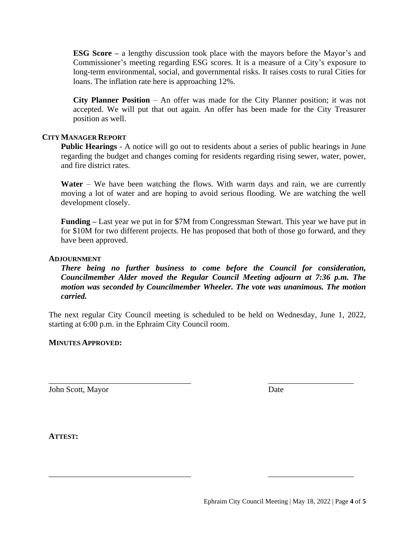**ESG Score –** a lengthy discussion took place with the mayors before the Mayor's and Commissioner's meeting regarding ESG scores. It is a measure of a City's exposure to long-term environmental, social, and governmental risks. It raises costs to rural Cities for loans. The inflation rate here is approaching 12%.

**City Planner Position** – An offer was made for the City Planner position; it was not accepted. We will put that out again. An offer has been made for the City Treasurer position as well.

# **CITY MANAGER REPORT**

**Public Hearings** - A notice will go out to residents about a series of public hearings in June regarding the budget and changes coming for residents regarding rising sewer, water, power, and fire district rates.

**Water** – We have been watching the flows. With warm days and rain, we are currently moving a lot of water and are hoping to avoid serious flooding. We are watching the well development closely.

**Funding –** Last year we put in for \$7M from Congressman Stewart. This year we have put in for \$10M for two different projects. He has proposed that both of those go forward, and they have been approved.

## **ADJOURNMENT**

*There being no further business to come before the Council for consideration, Councilmember Alder moved the Regular Council Meeting adjourn at 7:36 p.m. The motion was seconded by Councilmember Wheeler. The vote was unanimous. The motion carried.*

The next regular City Council meeting is scheduled to be held on Wednesday, June 1, 2022, starting at 6:00 p.m. in the Ephraim City Council room.

\_\_\_\_\_\_\_\_\_\_\_\_\_\_\_\_\_\_\_\_\_\_\_\_\_\_\_\_\_\_\_\_\_\_\_ \_\_\_\_\_\_\_\_\_\_\_\_\_\_\_\_\_\_\_\_\_

\_\_\_\_\_\_\_\_\_\_\_\_\_\_\_\_\_\_\_\_\_\_\_\_\_\_\_\_\_\_\_\_\_\_\_ \_\_\_\_\_\_\_\_\_\_\_\_\_\_\_\_\_\_\_\_\_

## **MINUTES APPROVED:**

John Scott, Mayor Date

**ATTEST:**